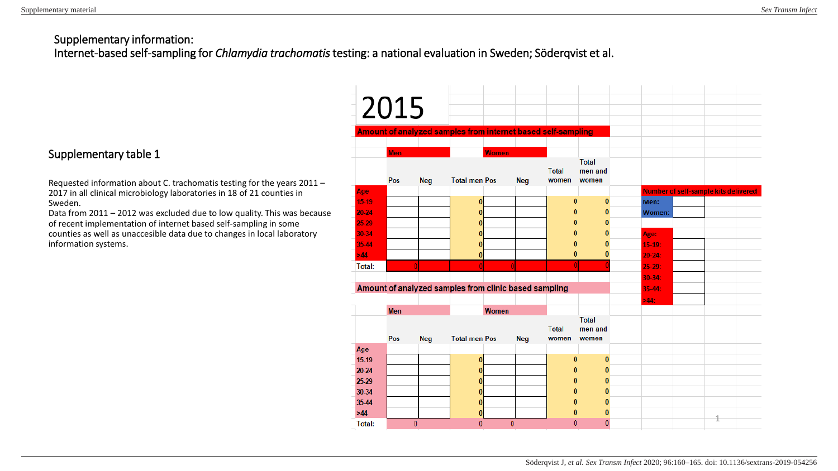# Supplementary information:

Internet-based self-sampling for *Chlamydia trachomatis* testing: a national evaluation in Sweden; Söderqvist et al.

### Supplementary table 1

Requested information about C. trachomatis testing for the years 2011 – 2017 in all clinical microbiology laboratories in 18 of 21 counties in Sweden.

Data from 2011 – 2012 was excluded due to low quality. This was because of recent implementation of internet based self-sampling in some counties as well as unaccesible data due to changes in local laboratory information systems.

|               | 2015              |            | Amount of analyzed samples from internet based self-sampling |               |            |                       |                                  |   |                                             |   |  |
|---------------|-------------------|------------|--------------------------------------------------------------|---------------|------------|-----------------------|----------------------------------|---|---------------------------------------------|---|--|
|               |                   |            |                                                              |               |            |                       |                                  |   |                                             |   |  |
|               | <b>Men</b><br>Pos | <b>Neg</b> | <b>Total men Pos</b>                                         | <b>Women</b>  | <b>Neg</b> | <b>Total</b><br>women | <b>Total</b><br>men and<br>women |   |                                             |   |  |
| Age           |                   |            |                                                              |               |            |                       |                                  |   | <b>Number of self-sample kits delivered</b> |   |  |
| 15-19         |                   |            | $\bf{0}$                                                     |               |            | $\bf{0}$              | $\bf{0}$                         |   | Men:                                        |   |  |
| 20-24         |                   |            | $\bf{0}$                                                     |               |            | $\bf{0}$              | 0                                |   | <b>Women:</b>                               |   |  |
| 25-29         |                   |            | $\bf{0}$                                                     |               |            | $\bf{0}$              | $\bf{0}$                         |   |                                             |   |  |
| 30-34         |                   |            |                                                              |               |            | 0                     | 0                                |   | Age:                                        |   |  |
| 35.44         |                   |            | n                                                            |               |            | 0                     | $\bf{0}$                         |   | $15-19$ :                                   |   |  |
| >44           |                   |            | $\bf{0}$                                                     |               |            | $\bf{0}$              | 0                                |   | $20 - 24:$                                  |   |  |
| <b>Total:</b> |                   |            |                                                              |               |            | $\bf{0}$              |                                  |   | $25-29:$                                    |   |  |
|               |                   |            |                                                              |               | $30 - 34:$ |                       |                                  |   |                                             |   |  |
|               |                   |            | Amount of analyzed samples from clinic based sampling        |               |            |                       |                                  |   | 35-44:                                      |   |  |
|               |                   |            |                                                              |               |            |                       |                                  |   | $>44$ :                                     |   |  |
|               | <b>Men</b>        |            | <b>Women</b>                                                 |               |            | <b>Total</b>          | <b>Total</b><br>men and          |   |                                             |   |  |
|               | Pos               | <b>Neg</b> | <b>Total men Pos</b>                                         |               | <b>Neg</b> | women                 | women                            |   |                                             |   |  |
| Age<br>15-19  |                   |            | $\bf{0}$                                                     |               |            | $\bf{0}$              | $\bf{0}$                         |   |                                             |   |  |
| 20-24         |                   |            | 0                                                            |               |            | $\bf{0}$              | $\bf{0}$                         |   |                                             |   |  |
| 25-29         |                   |            | $\bf{0}$                                                     |               |            | $\mathbf{0}$          | $\bf{0}$                         |   |                                             |   |  |
| 30-34         |                   |            | O                                                            |               |            | 0                     | 0                                |   |                                             |   |  |
| 35-44         |                   |            | 0                                                            |               |            | 0                     | $\bf{0}$                         |   |                                             |   |  |
| $>44$         |                   |            | 0                                                            |               |            | 0                     | $\bf{0}$                         |   |                                             |   |  |
| Total:        | 0                 |            |                                                              | $\bf{0}$<br>0 |            | $\mathbf{0}$          |                                  | 0 |                                             | 1 |  |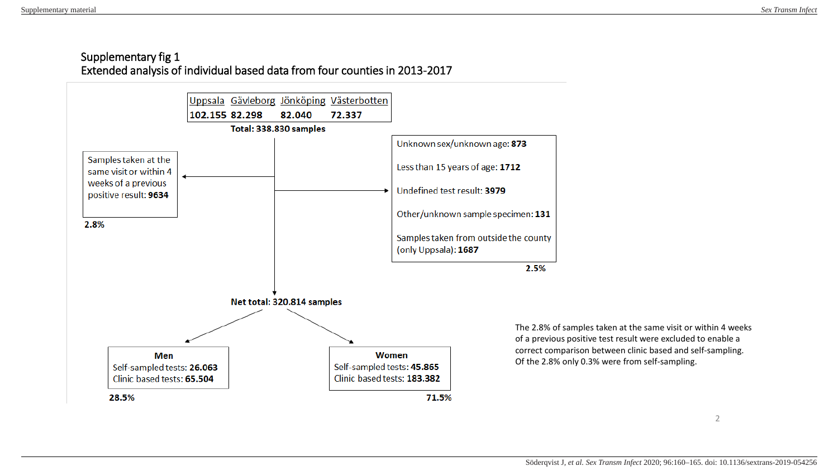## Supplementary fig 1 Extended analysis of individual based data from four counties in 2013-2017



The 2.8% of samples taken at the same visit or within 4 weeks of a previous positive test result were excluded to enable a correct comparison between clinic based and self-sampling. Of the 2.8% only 0.3% were from self-sampling.

2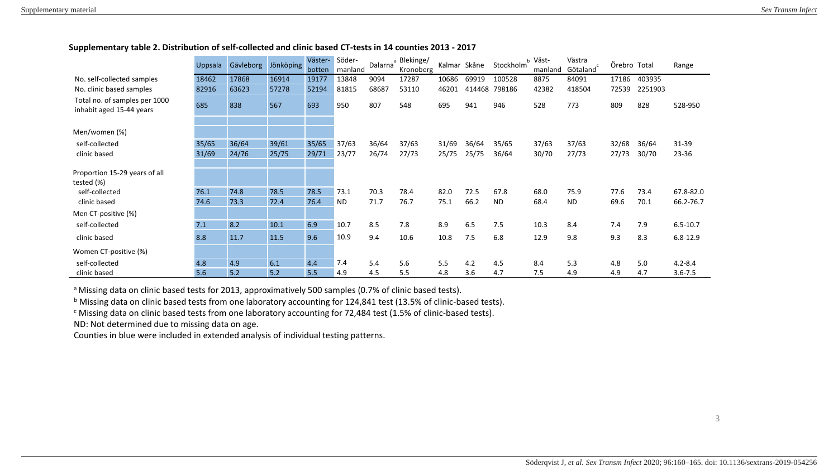#### **Supplementary table 2. Distribution of self-collected and clinic based CT-tests in 14 counties 2013 - 2017**

|                                                           | Uppsala | Gävleborg | Jönköping | Väster- | Söder-    | a<br>Dalarna | Blekinge/ |       | Kalmar Skåne | Stockholm | b Väst- | Västra                | Örebro Total |         | Range        |
|-----------------------------------------------------------|---------|-----------|-----------|---------|-----------|--------------|-----------|-------|--------------|-----------|---------|-----------------------|--------------|---------|--------------|
|                                                           |         |           |           | botten  | manland   |              | Kronoberg |       |              |           | manland | Götaland <sup>c</sup> |              |         |              |
| No. self-collected samples                                | 18462   | 17868     | 16914     | 19177   | 13848     | 9094         | 17287     | 10686 | 69919        | 100528    | 8875    | 84091                 | 17186        | 403935  |              |
| No. clinic based samples                                  | 82916   | 63623     | 57278     | 52194   | 81815     | 68687        | 53110     | 46201 | 414468       | 798186    | 42382   | 418504                | 72539        | 2251903 |              |
| Total no. of samples per 1000<br>inhabit aged 15-44 years | 685     | 838       | 567       | 693     | 950       | 807          | 548       | 695   | 941          | 946       | 528     | 773                   | 809          | 828     | 528-950      |
| Men/women (%)                                             |         |           |           |         |           |              |           |       |              |           |         |                       |              |         |              |
|                                                           |         |           |           |         |           |              |           |       |              |           |         |                       |              |         |              |
| self-collected                                            | 35/65   | 36/64     | 39/61     | 35/65   | 37/63     | 36/64        | 37/63     | 31/69 | 36/64        | 35/65     | 37/63   | 37/63                 | 32/68        | 36/64   | 31-39        |
| clinic based                                              | 31/69   | 24/76     | 25/75     | 29/71   | 23/77     | 26/74        | 27/73     | 25/75 | 25/75        | 36/64     | 30/70   | 27/73                 | 27/73        | 30/70   | 23-36        |
| Proportion 15-29 years of all                             |         |           |           |         |           |              |           |       |              |           |         |                       |              |         |              |
| tested (%)                                                |         |           |           |         |           |              |           |       |              |           |         |                       |              |         |              |
| self-collected                                            | 76.1    | 74.8      | 78.5      | 78.5    | 73.1      | 70.3         | 78.4      | 82.0  | 72.5         | 67.8      | 68.0    | 75.9                  | 77.6         | 73.4    | 67.8-82.0    |
| clinic based                                              | 74.6    | 73.3      | 72.4      | 76.4    | <b>ND</b> | 71.7         | 76.7      | 75.1  | 66.2         | <b>ND</b> | 68.4    | <b>ND</b>             | 69.6         | 70.1    | 66.2-76.7    |
| Men CT-positive (%)                                       |         |           |           |         |           |              |           |       |              |           |         |                       |              |         |              |
| self-collected                                            | 7.1     | 8.2       | 10.1      | 6.9     | 10.7      | 8.5          | 7.8       | 8.9   | 6.5          | 7.5       | 10.3    | 8.4                   | 7.4          | 7.9     | $6.5 - 10.7$ |
| clinic based                                              | 8.8     | 11.7      | 11.5      | 9.6     | 10.9      | 9.4          | 10.6      | 10.8  | 7.5          | 6.8       | 12.9    | 9.8                   | 9.3          | 8.3     | $6.8 - 12.9$ |
| Women CT-positive (%)                                     |         |           |           |         |           |              |           |       |              |           |         |                       |              |         |              |
| self-collected                                            | 4.8     | 4.9       | 6.1       | 4.4     | 7.4       | 5.4          | 5.6       | 5.5   | 4.2          | 4.5       | 8.4     | 5.3                   | 4.8          | 5.0     | $4.2 - 8.4$  |
| clinic based                                              | 5.6     | 5.2       | 5.2       | 5.5     | 4.9       | 4.5          | 5.5       | 4.8   | 3.6          | 4.7       | 7.5     | 4.9                   | 4.9          | 4.7     | $3.6 - 7.5$  |

a Missing data on clinic based tests for 2013, approximatively 500 samples (0.7% of clinic based tests).

b Missing data on clinic based tests from one laboratory accounting for 124,841 test (13.5% of clinic-based tests).

<sup>c</sup> Missing data on clinic based tests from one laboratory accounting for 72,484 test (1.5% of clinic-based tests).

ND: Not determined due to missing data on age.

Counties in blue were included in extended analysis of individual testing patterns.